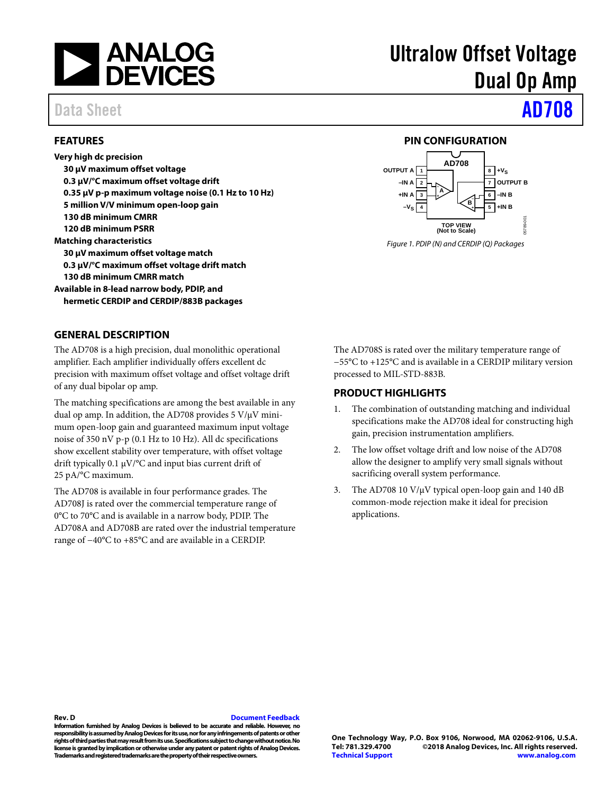

## Data Sheet **[AD708](http://www.analog.com/AD708?doc=ad708.pdf)**

### <span id="page-0-0"></span>**FEATURES**

**Very high dc precision 30 μV maximum offset voltage 0.3 μV/°C maximum offset voltage drift 0.35 μV p-p maximum voltage noise (0.1 Hz to 10 Hz) 5 million V/V minimum open-loop gain 130 dB minimum CMRR 120 dB minimum PSRR Matching characteristics 30 μV maximum offset voltage match 0.3 μV/°C maximum offset voltage drift match 130 dB minimum CMRR match Available in 8-lead narrow body, PDIP, and hermetic CERDIP and CERDIP/883B packages**

# Ultralow Offset Voltage Dual Op Amp

### **PIN CONFIGURATION**

<span id="page-0-1"></span>

*Figure 1. PDIP (N) and CERDIP (Q) Packages*

### <span id="page-0-2"></span>**GENERAL DESCRIPTION**

The AD708 is a high precision, dual monolithic operational amplifier. Each amplifier individually offers excellent dc precision with maximum offset voltage and offset voltage drift of any dual bipolar op amp.

The matching specifications are among the best available in any dual op amp. In addition, the AD708 provides 5 V/μV minimum open-loop gain and guaranteed maximum input voltage noise of 350 nV p-p (0.1 Hz to 10 Hz). All dc specifications show excellent stability over temperature, with offset voltage drift typically 0.1 μV/°C and input bias current drift of 25 pA/°C maximum.

The AD708 is available in four performance grades. The AD708J is rated over the commercial temperature range of 0°C to 70°C and is available in a narrow body, PDIP. The AD708A and AD708B are rated over the industrial temperature range of −40°C to +85°C and are available in a CERDIP.

The AD708S is rated over the military temperature range of −55°C to +125°C and is available in a CERDIP military version processed to MIL-STD-883B.

### <span id="page-0-3"></span>**PRODUCT HIGHLIGHTS**

- 1. The combination of outstanding matching and individual specifications make the AD708 ideal for constructing high gain, precision instrumentation amplifiers.
- 2. The low offset voltage drift and low noise of the AD708 allow the designer to amplify very small signals without sacrificing overall system performance.
- 3. The AD708 10 V/µV typical open-loop gain and 140 dB common-mode rejection make it ideal for precision applications.

### **Rev. D [Document Feedback](https://form.analog.com/Form_Pages/feedback/documentfeedback.aspx?doc=AD708.pdf&product=AD708&rev=D)**

**Information furnished by Analog Devices is believed to be accurate and reliable. However, no responsibility is assumed by Analog Devices for its use, nor for any infringements of patents or other rights of third parties that may result from its use. Specifications subject to change without notice. No license is granted by implication or otherwise under any patent or patent rights of Analog Devices. Trademarks and registered trademarks are the property of their respective owners.**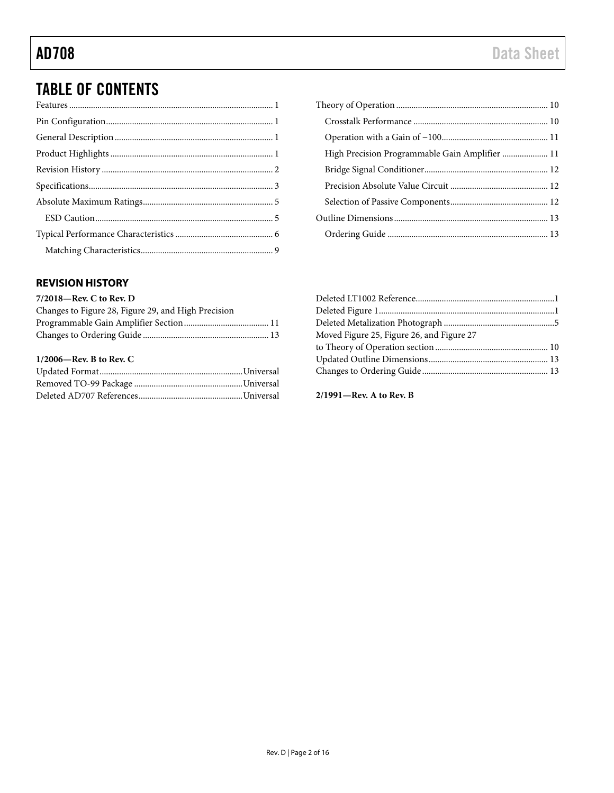## TABLE OF CONTENTS

### <span id="page-1-0"></span>**REVISION HISTORY**

### **7/2018—Rev. C to Rev. D**

| Changes to Figure 28, Figure 29, and High Precision |  |
|-----------------------------------------------------|--|
|                                                     |  |
|                                                     |  |
| $1/2006$ —Rev. B to Rev. C                          |  |

| High Precision Programmable Gain Amplifier  11 |
|------------------------------------------------|
|                                                |
|                                                |
|                                                |
|                                                |
|                                                |

| Moved Figure 25, Figure 26, and Figure 27 |  |
|-------------------------------------------|--|
|                                           |  |
|                                           |  |
|                                           |  |
|                                           |  |

**2/1991—Rev. A to Rev. B**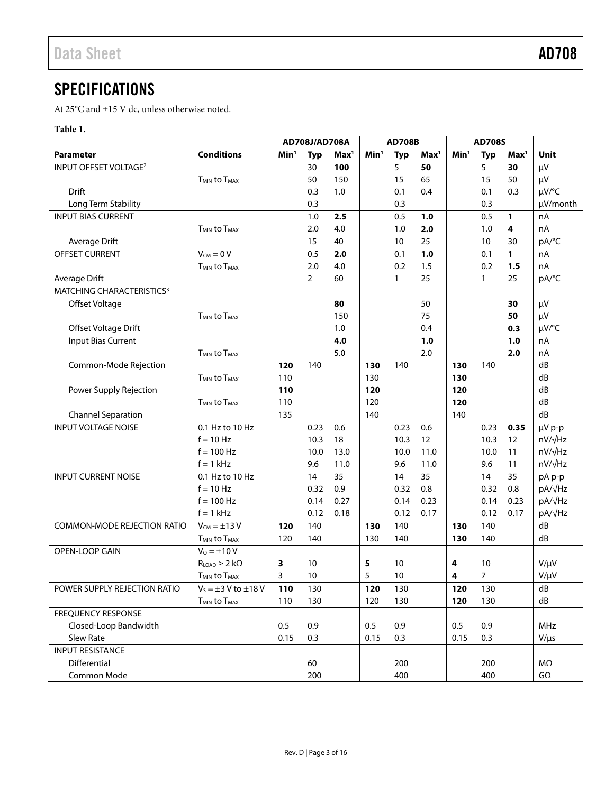<span id="page-2-0"></span>At 25°C and ±15 V dc, unless otherwise noted.

### <span id="page-2-1"></span>**Table 1.**

|                                       |                                            | AD708J/AD708A    |                | <b>AD708B</b>    |                  |              | <b>AD708S</b>    |                  |                |                  |                |
|---------------------------------------|--------------------------------------------|------------------|----------------|------------------|------------------|--------------|------------------|------------------|----------------|------------------|----------------|
| <b>Parameter</b>                      | <b>Conditions</b>                          | Min <sup>1</sup> | <b>Typ</b>     | Max <sup>1</sup> | Min <sup>1</sup> | <b>Typ</b>   | Max <sup>1</sup> | Min <sup>1</sup> | <b>Typ</b>     | Max <sup>1</sup> | <b>Unit</b>    |
| INPUT OFFSET VOLTAGE <sup>2</sup>     |                                            |                  | 30             | 100              |                  | 5            | 50               |                  | 5              | 30               | $\mu$ V        |
|                                       | T <sub>MIN</sub> to T <sub>MAX</sub>       |                  | 50             | 150              |                  | 15           | 65               |                  | 15             | 50               | $\mu$ V        |
| <b>Drift</b>                          |                                            |                  | 0.3            | 1.0              |                  | 0.1          | 0.4              |                  | 0.1            | 0.3              | µV/°C          |
| Long Term Stability                   |                                            |                  | 0.3            |                  |                  | 0.3          |                  |                  | 0.3            |                  | µV/month       |
| <b>INPUT BIAS CURRENT</b>             |                                            |                  | 1.0            | 2.5              |                  | 0.5          | 1.0              |                  | 0.5            | 1                | nA             |
|                                       | <b>T<sub>MIN</sub></b> to T <sub>MAX</sub> |                  | 2.0            | 4.0              |                  | 1.0          | 2.0              |                  | 1.0            | 4                | nA             |
| Average Drift                         |                                            |                  | 15             | 40               |                  | 10           | 25               |                  | 10             | 30               | pA/°C          |
| OFFSET CURRENT                        | $V_{CM} = 0 V$                             |                  | 0.5            | 2.0              |                  | 0.1          | 1.0              |                  | 0.1            | $\mathbf{1}$     | nA             |
|                                       | <b>T<sub>MIN</sub></b> to T <sub>MAX</sub> |                  | 2.0            | 4.0              |                  | 0.2          | 1.5              |                  | 0.2            | 1.5              | nA             |
| Average Drift                         |                                            |                  | $\overline{2}$ | 60               |                  | $\mathbf{1}$ | 25               |                  | $\mathbf{1}$   | 25               | pA/°C          |
| MATCHING CHARACTERISTICS <sup>3</sup> |                                            |                  |                |                  |                  |              |                  |                  |                |                  |                |
| Offset Voltage                        |                                            |                  |                | 80               |                  |              | 50               |                  |                | 30               | $\mu V$        |
|                                       | <b>T<sub>MIN</sub></b> to T <sub>MAX</sub> |                  |                | 150              |                  |              | 75               |                  |                | 50               | μV             |
| Offset Voltage Drift                  |                                            |                  |                | 1.0              |                  |              | 0.4              |                  |                | 0.3              | µV/°C          |
| <b>Input Bias Current</b>             |                                            |                  |                | 4.0              |                  |              | 1.0              |                  |                | 1.0              | nA             |
|                                       | <b>T<sub>MIN</sub></b> to T <sub>MAX</sub> |                  |                | 5.0              |                  |              | 2.0              |                  |                | 2.0              | nA             |
| Common-Mode Rejection                 |                                            | 120              | 140            |                  | 130              | 140          |                  | 130              | 140            |                  | dB             |
|                                       | <b>T<sub>MIN</sub></b> to T <sub>MAX</sub> | 110              |                |                  | 130              |              |                  | 130              |                |                  | dB             |
| Power Supply Rejection                |                                            | 110              |                |                  | 120              |              |                  | 120              |                |                  | dB             |
|                                       | <b>T<sub>MIN</sub></b> to T <sub>MAX</sub> | 110              |                |                  | 120              |              |                  | 120              |                |                  | dB             |
| <b>Channel Separation</b>             |                                            | 135              |                |                  | 140              |              |                  | 140              |                |                  | dB             |
| <b>INPUT VOLTAGE NOISE</b>            | 0.1 Hz to 10 Hz                            |                  | 0.23           | 0.6              |                  | 0.23         | 0.6              |                  | 0.23           | 0.35             | µV p-p         |
|                                       | $f = 10$ Hz                                |                  | 10.3           | 18               |                  | 10.3         | 12               |                  | 10.3           | 12               | $nV/\sqrt{Hz}$ |
|                                       | $f = 100$ Hz                               |                  | 10.0           | 13.0             |                  | 10.0         | 11.0             |                  | 10.0           | 11               | nV/√Hz         |
|                                       | $f = 1$ kHz                                |                  | 9.6            | 11.0             |                  | 9.6          | 11.0             |                  | 9.6            | 11               | nV/√Hz         |
| <b>INPUT CURRENT NOISE</b>            | 0.1 Hz to 10 Hz                            |                  | 14             | 35               |                  | 14           | 35               |                  | 14             | 35               | pA p-p         |
|                                       | $f = 10$ Hz                                |                  | 0.32           | 0.9              |                  | 0.32         | 0.8              |                  | 0.32           | 0.8              | pA/√Hz         |
|                                       | $f = 100$ Hz                               |                  | 0.14           | 0.27             |                  | 0.14         | 0.23             |                  | 0.14           | 0.23             | pA/√Hz         |
|                                       | $f = 1$ kHz                                |                  | 0.12           | 0.18             |                  | 0.12         | 0.17             |                  | 0.12           | 0.17             | pA/√Hz         |
| <b>COMMON-MODE REJECTION RATIO</b>    | $V_{CM} = \pm 13 V$                        | 120              | 140            |                  | 130              | 140          |                  | 130              | 140            |                  | dB             |
|                                       | <b>TMIN to TMAX</b>                        | 120              | 140            |                  | 130              | 140          |                  | 130              | 140            |                  | dB             |
| OPEN-LOOP GAIN                        | $V_0 = \pm 10 V$                           |                  |                |                  |                  |              |                  |                  |                |                  |                |
|                                       | $R_{LOAD} \geq 2 k\Omega$                  | 3                | 10             |                  | 5                | 10           |                  | 4                | 10             |                  | $V/\mu V$      |
|                                       | <b>T<sub>MIN</sub></b> to T <sub>MAX</sub> | 3                | 10             |                  | 5                | 10           |                  | 4                | $\overline{7}$ |                  | V/µV           |
| POWER SUPPLY REJECTION RATIO          | $V_s = \pm 3$ V to $\pm 18$ V              | 110              | 130            |                  | 120              | 130          |                  | 120              | 130            |                  | dB             |
|                                       | <b>TMIN to TMAX</b>                        | 110              | 130            |                  | 120              | 130          |                  | 120              | 130            |                  | dB             |
| <b>FREQUENCY RESPONSE</b>             |                                            |                  |                |                  |                  |              |                  |                  |                |                  |                |
| Closed-Loop Bandwidth                 |                                            | 0.5              | 0.9            |                  | 0.5              | 0.9          |                  | 0.5              | 0.9            |                  | MHz            |
| Slew Rate                             |                                            | 0.15             | 0.3            |                  | 0.15             | 0.3          |                  | 0.15             | 0.3            |                  | $V/\mu s$      |
| <b>INPUT RESISTANCE</b>               |                                            |                  |                |                  |                  |              |                  |                  |                |                  |                |
| Differential                          |                                            |                  | 60             |                  |                  | 200          |                  |                  | 200            |                  | $M\Omega$      |
| Common Mode                           |                                            |                  | 200            |                  |                  | 400          |                  |                  | 400            |                  | $G\Omega$      |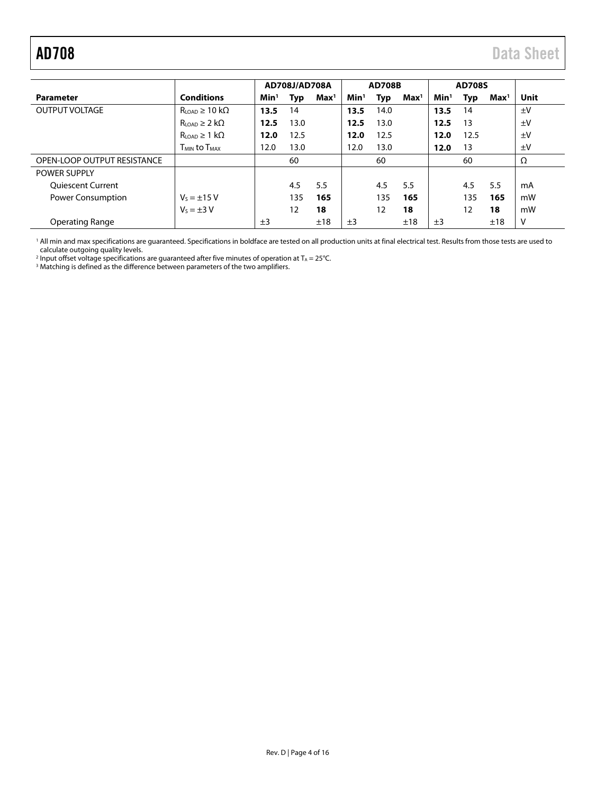<span id="page-3-0"></span>

|                             |                                           |                  | AD708J/AD708A |                  |                  | <b>AD708B</b> |                  |                  | <b>AD708S</b> |                  |         |
|-----------------------------|-------------------------------------------|------------------|---------------|------------------|------------------|---------------|------------------|------------------|---------------|------------------|---------|
| <b>Parameter</b>            | <b>Conditions</b>                         | Min <sup>1</sup> | <b>Typ</b>    | Max <sup>1</sup> | Min <sup>1</sup> | Typ           | Max <sup>1</sup> | Min <sup>1</sup> | Typ           | Max <sup>1</sup> | Unit    |
| <b>OUTPUT VOLTAGE</b>       | $R_{\text{LOAD}} \geq 10 \text{ k}\Omega$ | 13.5             | 14            |                  | 13.5             | 14.0          |                  | 13.5             | 14            |                  | $\pm$ V |
|                             | $R_{\text{LOAD}} \geq 2 \text{ k}\Omega$  | 12.5             | 13.0          |                  | 12.5             | 13.0          |                  | 12.5             | 13            |                  | $\pm$ V |
|                             | $R_{LOAD} \geq 1$ k $\Omega$              | 12.0             | 12.5          |                  | 12.0             | 12.5          |                  | 12.0             | 12.5          |                  | $\pm$ V |
|                             | <b>TMIN to TMAX</b>                       | 12.0             | 13.0          |                  | 12.0             | 13.0          |                  | 12.0             | 13            |                  | $\pm$ V |
| OPEN-LOOP OUTPUT RESISTANCE |                                           |                  | 60            |                  |                  | 60            |                  |                  | 60            |                  | Ω       |
| <b>POWER SUPPLY</b>         |                                           |                  |               |                  |                  |               |                  |                  |               |                  |         |
| <b>Oujescent Current</b>    |                                           |                  | 4.5           | 5.5              |                  | 4.5           | 5.5              |                  | 4.5           | 5.5              | mA      |
| <b>Power Consumption</b>    | $V_s = \pm 15$ V                          |                  | 135           | 165              |                  | 135           | 165              |                  | 135           | 165              | mW      |
|                             | $V_s = \pm 3 V$                           |                  | 12            | 18               |                  | 12            | 18               |                  | 12            | 18               | mW      |
| <b>Operating Range</b>      |                                           | ±3               |               | ±18              | ±3               |               | ±18              | ±3               |               | ±18              | v       |

<sup>1</sup> All min and max specifications are guaranteed. Specifications in boldface are tested on all production units at final electrical test. Results from those tests are used to calculate outgoing quality levels.

<sup>2</sup> Input offset voltage specifications are guaranteed after five minutes of operation at T<sub>A</sub> = 25°C.

 $3$  Matching is defined as the difference between parameters of the two amplifiers.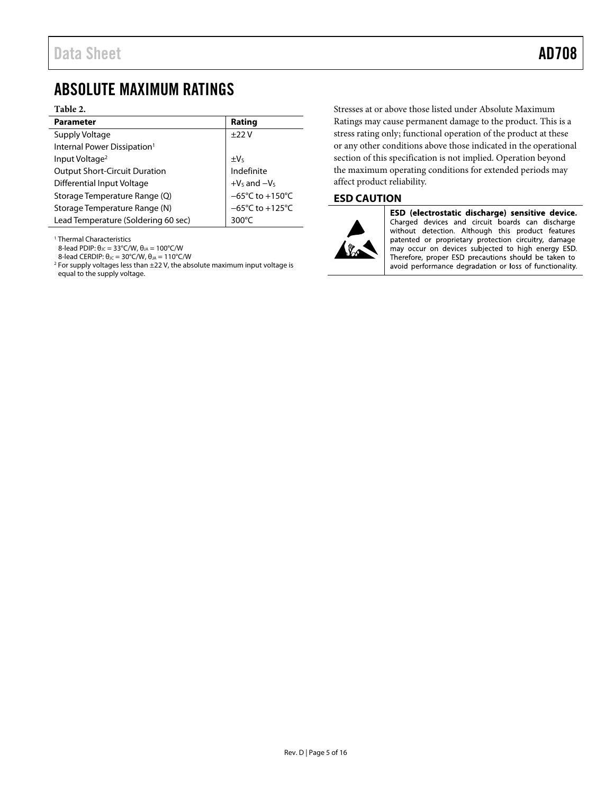## <span id="page-4-0"></span>ABSOLUTE MAXIMUM RATINGS

### **Table 2.**

| <b>Parameter</b>                        | Rating                               |
|-----------------------------------------|--------------------------------------|
| Supply Voltage                          | ±22V                                 |
| Internal Power Dissipation <sup>1</sup> |                                      |
| Input Voltage <sup>2</sup>              | $\pm V_5$                            |
| <b>Output Short-Circuit Duration</b>    | Indefinite                           |
| <b>Differential Input Voltage</b>       | $+V_S$ and $-V_S$<br>-65°C to +150°C |
| Storage Temperature Range (Q)           |                                      |
| Storage Temperature Range (N)           | $-65^{\circ}$ C to +125 $^{\circ}$ C |
| Lead Temperature (Soldering 60 sec)     | $300^{\circ}$ C                      |

<sup>1</sup> Thermal Characteristics

8-lead PDIP:  $θ_{JC} = 33°C/W$ ,  $θ_{JA} = 100°C/W$ 

8-lead CERDIP:  $θ_{JC} = 30°C/W$ ,  $θ_{JA} = 110°C/W$ 

 $2$  For supply voltages less than  $\pm 22$  V, the absolute maximum input voltage is equal to the supply voltage.

Stresses at or above those listed under Absolute Maximum Ratings may cause permanent damage to the product. This is a stress rating only; functional operation of the product at these or any other conditions above those indicated in the operational section of this specification is not implied. Operation beyond the maximum operating conditions for extended periods may affect product reliability.

### <span id="page-4-1"></span>**ESD CAUTION**



ESD (electrostatic discharge) sensitive device. Charged devices and circuit boards can discharge without detection. Although this product features patented or proprietary protection circuitry, damage may occur on devices subjected to high energy ESD. Therefore, proper ESD precautions should be taken to avoid performance degradation or loss of functionality.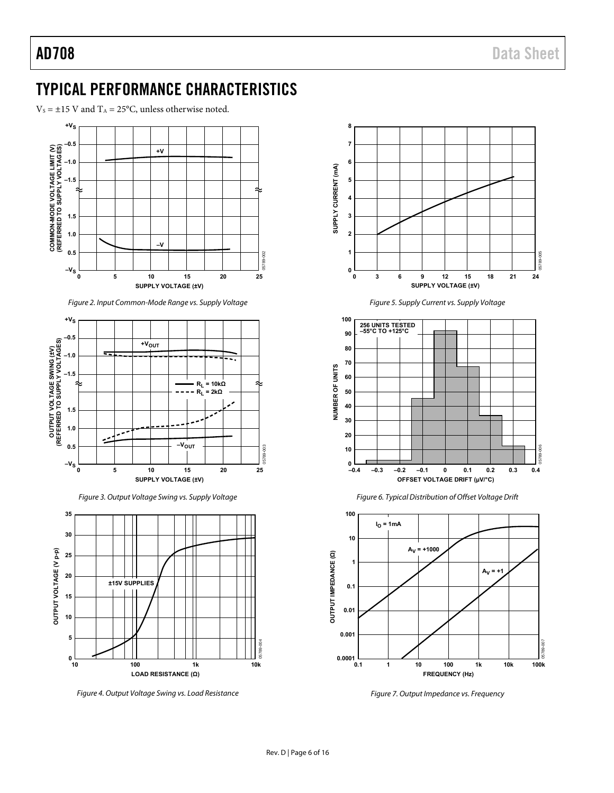## <span id="page-5-0"></span>TYPICAL PERFORMANCE CHARACTERISTICS

 $V_s = \pm 15$  V and  $T_A = 25$ °C, unless otherwise noted.



Figure 2. Input Common-Mode Range vs. Supply Voltage







Figure 4. Output Voltage Swing vs. Load Resistance











Figure 7. Output Impedance vs. Frequency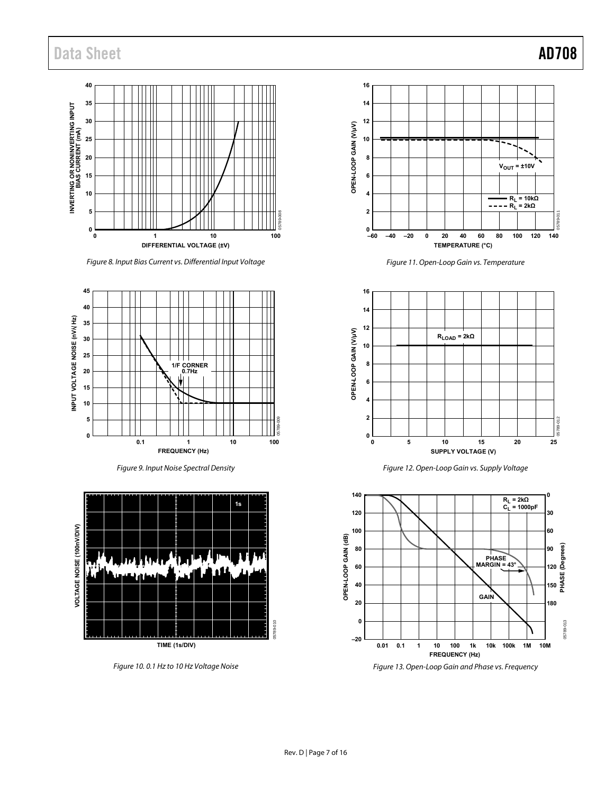## Data Sheet **AD708**



Figure 8. Input Bias Current vs. Differential Input Voltage



Figure 9. Input Noise Spectral Density



Figure 10. 0.1 Hz to 10 Hz Voltage Noise



Figure 11. Open-Loop Gain vs. Temperature



Figure 12. Open-Loop Gain vs. Supply Voltage



Figure 13. Open-Loop Gain and Phase vs. Frequency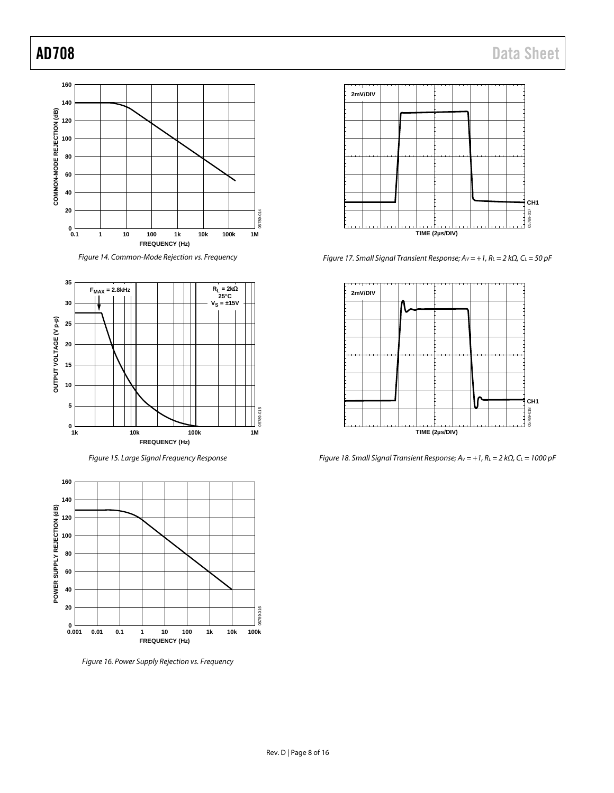



*Figure 15. Large Signal Frequency Response*



*Figure 16. Power Supply Rejection vs. Frequency*



*Figure 17. Small Signal Transient Response; AV = +1, RL = 2 kΩ, CL = 50 pF*



*Figure 18. Small Signal Transient Response; AV = +1, RL = 2 kΩ, CL = 1000 pF*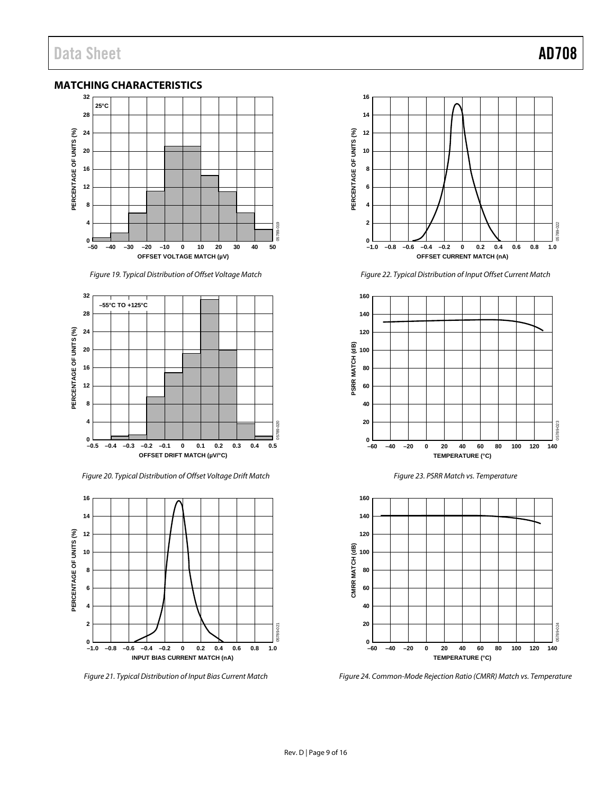### <span id="page-8-0"></span>**MATCHING CHARACTERISTICS**



*Figure 19. Typical Distribution of Offset Voltage Match*



*Figure 20. Typical Distribution of Offset Voltage Drift Match*



*Figure 21. Typical Distribution of Input Bias Current Match*



*Figure 22. Typical Distribution of Input Offset Current Match*







*Figure 24. Common-Mode Rejection Ratio (CMRR) Match vs. Temperature*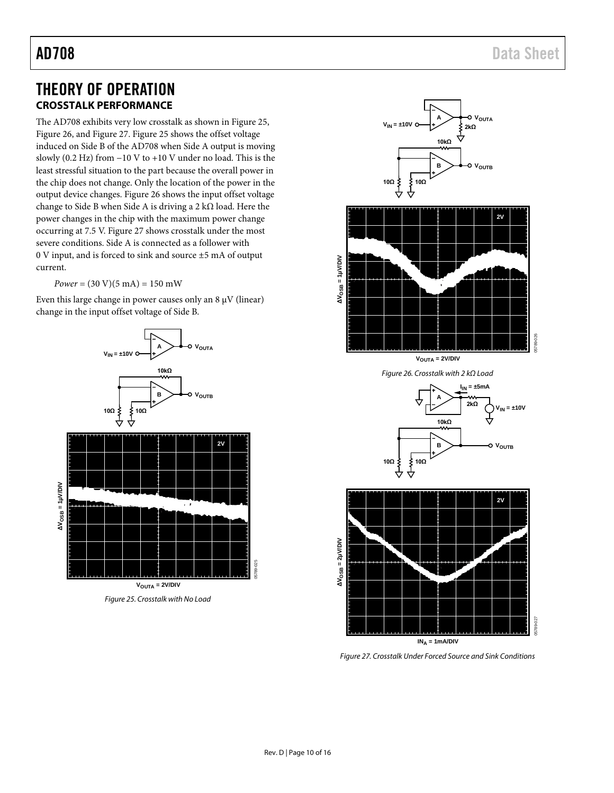## <span id="page-9-0"></span>THEORY OF OPERATION **CROSSTALK PERFORMANCE**

<span id="page-9-1"></span>The AD708 exhibits very low crosstalk as shown in [Figure 25,](#page-9-2)  [Figure 26,](#page-9-3) an[d Figure 27.](#page-9-4) [Figure 25](#page-9-2) shows the offset voltage induced on Side B of the AD708 when Side A output is moving slowly (0.2 Hz) from −10 V to +10 V under no load. This is the least stressful situation to the part because the overall power in the chip does not change. Only the location of the power in the output device changes. [Figure 26](#page-9-3) shows the input offset voltage change to Side B when Side A is driving a 2 kΩ load. Here the power changes in the chip with the maximum power change occurring at 7.5 V. [Figure 27](#page-9-4) shows crosstalk under the most severe conditions. Side A is connected as a follower with 0 V input, and is forced to sink and source ±5 mA of output current.

 $Power = (30 V)(5 mA) = 150 mW$ 

Even this large change in power causes only an  $8 \mu V$  (linear) change in the input offset voltage of Side B.



<span id="page-9-2"></span>*Figure 25. Crosstalk with No Load*



<span id="page-9-3"></span>**ΔVOSB = 1µV/DIV**

 $AV_{OSB} = 1$ µ $VDV$ 



<span id="page-9-4"></span>*Figure 27. Crosstalk Under Forced Source and Sink Conditions*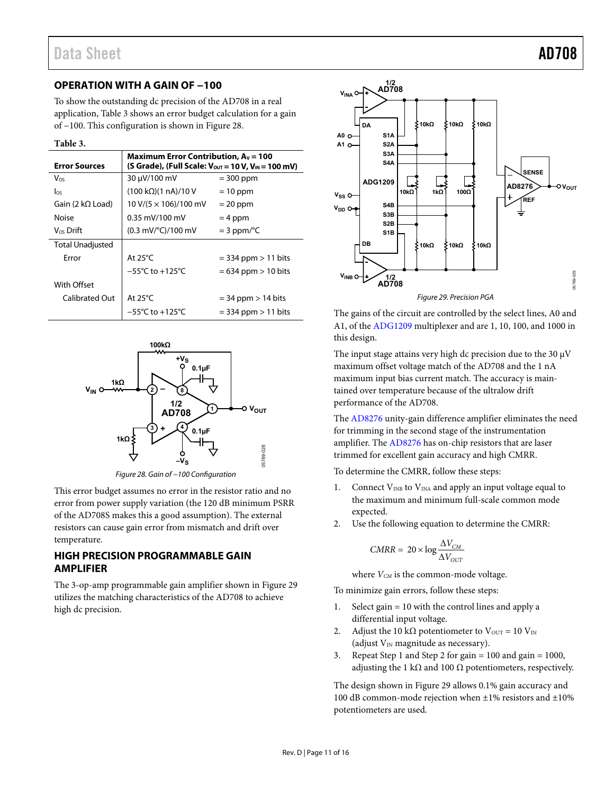### <span id="page-10-0"></span>**OPERATION WITH A GAIN OF −100**

To show the outstanding dc precision of the AD708 in a real application[, Table 3 s](#page-10-2)hows an error budget calculation for a gain of −100. This configuration is shown i[n Figure 28.](#page-10-3)

<span id="page-10-2"></span>**Table 3.** 

| <b>Error Sources</b>    | Maximum Error Contribution, $A_V = 100$<br>(S Grade), (Full Scale: $V_{\text{OUT}} = 10 V$ , $V_{\text{IN}} = 100 \text{ mV}$ ) |                         |  |  |  |  |  |
|-------------------------|---------------------------------------------------------------------------------------------------------------------------------|-------------------------|--|--|--|--|--|
| $V_{OS}$                | 30 µV/100 mV                                                                                                                    | $=$ 300 ppm             |  |  |  |  |  |
| los                     | $(100 \text{ k}\Omega)(1 \text{ nA})/10 \text{ V}$                                                                              | $= 10$ ppm              |  |  |  |  |  |
| Gain (2 $k\Omega$ Load) | $10 \text{ V} / (5 \times 106) / 100 \text{ mV}$                                                                                | $= 20$ ppm              |  |  |  |  |  |
| Noise                   | $0.35$ mV/100 mV                                                                                                                | $= 4$ ppm               |  |  |  |  |  |
| $V_{OS}$ Drift          | $(0.3 \text{ mV}/^{\circ}\text{C})/100 \text{ mV}$                                                                              | $=$ 3 ppm/ $\degree$ C  |  |  |  |  |  |
| <b>Total Unadjusted</b> |                                                                                                                                 |                         |  |  |  |  |  |
| Error                   | At $25^{\circ}$ C                                                                                                               | $=$ 334 ppm $>$ 11 bits |  |  |  |  |  |
|                         | $-55^{\circ}$ C to $+125^{\circ}$ C                                                                                             | $= 634$ ppm $> 10$ bits |  |  |  |  |  |
| With Offset             |                                                                                                                                 |                         |  |  |  |  |  |
| Calibrated Out          | At $25^{\circ}$ C                                                                                                               | $=$ 34 ppm $>$ 14 bits  |  |  |  |  |  |
|                         | $-55^{\circ}$ C to $+125^{\circ}$ C                                                                                             | $=$ 334 ppm $>$ 11 bits |  |  |  |  |  |



Figure 28. Gain of −100 Configuration

<span id="page-10-3"></span>This error budget assumes no error in the resistor ratio and no error from power supply variation (the 120 dB minimum PSRR of the AD708S makes this a good assumption). The external resistors can cause gain error from mismatch and drift over temperature.

### <span id="page-10-1"></span>**HIGH PRECISION PROGRAMMABLE GAIN AMPLIFIER**

The 3-op-amp programmable gain amplifier shown i[n Figure 29](#page-10-4)  utilizes the matching characteristics of the AD708 to achieve high dc precision.



<span id="page-10-4"></span>The gains of the circuit are controlled by the select lines, A0 and A1, of th[e ADG1209](http://www.analog.com/ADG1209?doc=AD708.pdf) multiplexer and are 1, 10, 100, and 1000 in this design.

The input stage attains very high dc precision due to the 30  $\mu$ V maximum offset voltage match of the AD708 and the 1 nA maximum input bias current match. The accuracy is maintained over temperature because of the ultralow drift performance of the AD708.

The [AD8276 u](http://www.analog.com/AD8276?doc=AD708.pdf)nity-gain difference amplifier eliminates the need for trimming in the second stage of the instrumentation amplifier. Th[e AD8276](http://www.analog.com/AD8276?doc=AD708.pdf) has on-chip resistors that are laser trimmed for excellent gain accuracy and high CMRR.

To determine the CMRR, follow these steps:

- 1. Connect  $V_{INB}$  to  $V_{INA}$  and apply an input voltage equal to the maximum and minimum full-scale common mode expected.
- 2. Use the following equation to determine the CMRR:

$$
CMRR = 20 \times \log \frac{\Delta V_{CM}}{\Delta V_{OUT}}
$$

where  $V_{CM}$  is the common-mode voltage.

To minimize gain errors, follow these steps:

- 1. Select gain = 10 with the control lines and apply a differential input voltage.
- 2. Adjust the 10 kΩ potentiometer to  $V_{\text{OUT}} = 10 V_{\text{IN}}$ (adjust  $V_{IN}$  magnitude as necessary).
- 3. Repeat Step 1 and Step 2 for gain = 100 and gain = 1000, adjusting the 1 k $\Omega$  and 100  $\Omega$  potentiometers, respectively.

The design shown in [Figure 29 a](#page-10-4)llows 0.1% gain accuracy and 100 dB common-mode rejection when ±1% resistors and ±10% potentiometers are used.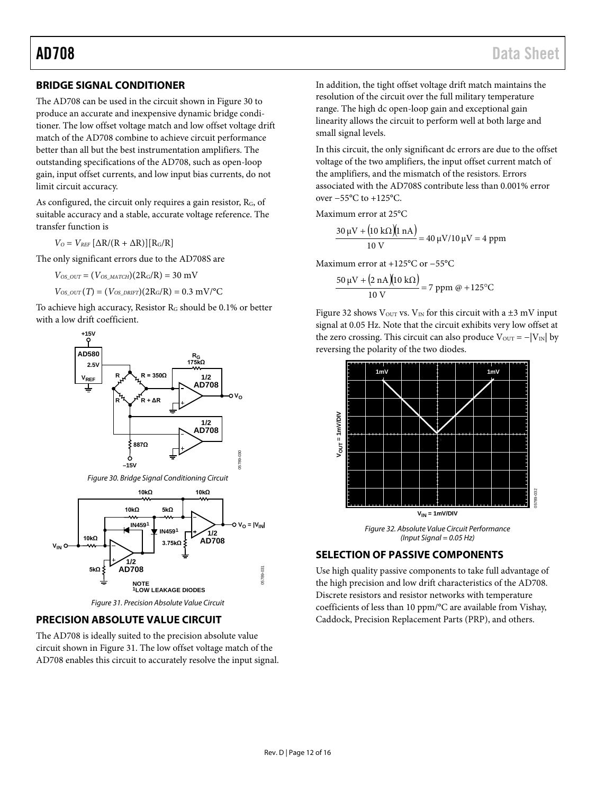### <span id="page-11-0"></span>**BRIDGE SIGNAL CONDITIONER**

The AD708 can be used in the circuit shown i[n Figure 30](#page-11-3) to produce an accurate and inexpensive dynamic bridge conditioner. The low offset voltage match and low offset voltage drift match of the AD708 combine to achieve circuit performance better than all but the best instrumentation amplifiers. The outstanding specifications of the AD708, such as open-loop gain, input offset currents, and low input bias currents, do not limit circuit accuracy.

As configured, the circuit only requires a gain resistor,  $R_G$ , of suitable accuracy and a stable, accurate voltage reference. The transfer function is

 $V_O = V_{REF} [\Delta R/(R + \Delta R)] [R_G/R]$ 

The only significant errors due to the AD708S are

 $V_{OS~OUT} = (V_{OS~MATCH})(2R_G/R) = 30$  mV

 $V_{OS\_OUT}(T) = (V_{OS\_DRIFT})(2R_G/R) = 0.3 \text{ mV}/^{\circ}\text{C}$ 

To achieve high accuracy, Resistor  $R_G$  should be 0.1% or better with a low drift coefficient.



<span id="page-11-3"></span>

*Figure 31. Precision Absolute Value Circuit*

### <span id="page-11-4"></span><span id="page-11-1"></span>**PRECISION ABSOLUTE VALUE CIRCUIT**

The AD708 is ideally suited to the precision absolute value circuit shown i[n Figure 31.](#page-11-4) The low offset voltage match of the AD708 enables this circuit to accurately resolve the input signal. In addition, the tight offset voltage drift match maintains the resolution of the circuit over the full military temperature range. The high dc open-loop gain and exceptional gain linearity allows the circuit to perform well at both large and small signal levels.

In this circuit, the only significant dc errors are due to the offset voltage of the two amplifiers, the input offset current match of the amplifiers, and the mismatch of the resistors. Errors associated with the AD708S contribute less than 0.001% error over −55°C to +125°C.

Maximum error at 25°C

$$
\frac{30 \,\mu\text{V} + (10 \,\text{k}\Omega)(1 \,\text{n}\text{A})}{10 \,\text{V}} = 40 \,\mu\text{V}/10 \,\mu\text{V} = 4 \,\text{ppm}
$$

Maximum error at +125°C or −55°C

$$
\frac{50 \,\mu\text{V} + (2 \,\text{nA})(10 \,\text{k}\Omega)}{10 \,\text{V}} = 7 \,\text{ppm} \,\,\text{@} + 125^{\circ}\text{C}
$$

[Figure 32](#page-11-5) shows V<sub>OUT</sub> vs. V<sub>IN</sub> for this circuit with a  $\pm$ 3 mV input signal at 0.05 Hz. Note that the circuit exhibits very low offset at the zero crossing. This circuit can also produce  $V_{\text{OUT}} = -|V_{\text{IN}}|$  by reversing the polarity of the two diodes.



*Figure 32. Absolute Value Circuit Performance (Input Signal = 0.05 Hz)*

### <span id="page-11-5"></span><span id="page-11-2"></span>**SELECTION OF PASSIVE COMPONENTS**

Use high quality passive components to take full advantage of the high precision and low drift characteristics of the AD708. Discrete resistors and resistor networks with temperature coefficients of less than 10 ppm/°C are available from Vishay, Caddock, Precision Replacement Parts (PRP), and others.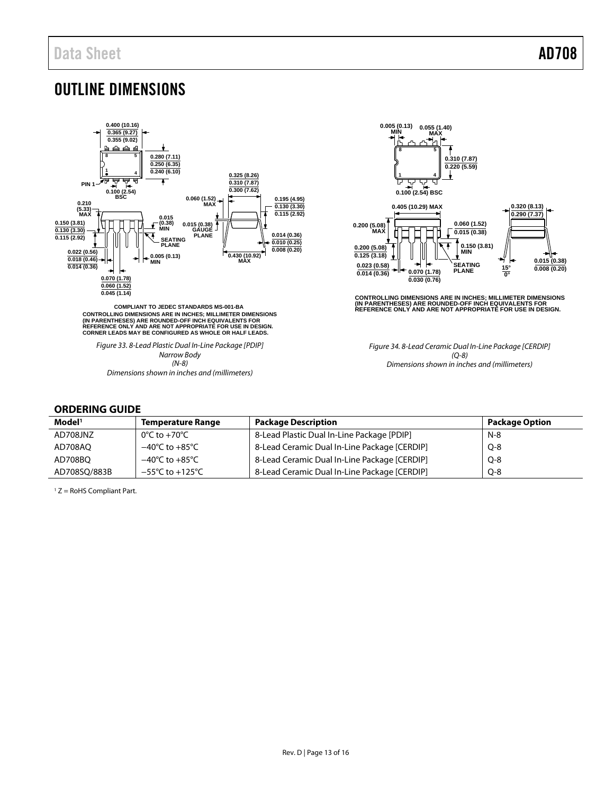## <span id="page-12-0"></span>OUTLINE DIMENSIONS



CONTROLLING DIMENSIONS ARE IN INCHES; MILLIMETER DIMENSIONS<br>(IN PARENTHESES) ARE ROUNDED-OFF INCH EQUIVALENTS FOR<br>REFERENCE ONLY AND ARE NOT APPROPRIATE FOR USE IN DESIGN.<br>CORNER LEADS MAY BE CONFIGURED AS WHOLE OR HALF LE

*Figure 33. 8-Lead Plastic Dual In-Line Package [PDIP] Narrow Body (N-8) Dimensions shown in inches and (millimeters)*



CONTROLLING DIMENSIONS ARE IN INCHES; MILLIMETER DIMENSIONS<br>(IN PARENTHESES) ARE ROUNDED-OFF INCH EQUIVALENTS FOR<br>REFERENCE ONLY AND ARE NOT APPROPRIATE FOR USE IN DESIGN.

*Figure 34. 8-Lead Ceramic Dual In-Line Package [CERDIP] (Q-8) Dimensions shown in inches and (millimeters)*

### <span id="page-12-1"></span>**ORDERING GUIDE**

| Model <sup>1</sup> | <b>Temperature Range</b>            | <b>Package Description</b>                   | <b>Package Option</b> |
|--------------------|-------------------------------------|----------------------------------------------|-----------------------|
| AD708JNZ           | 0°C to +70°C                        | 8-Lead Plastic Dual In-Line Package [PDIP]   | $N-8$                 |
| AD708AO            | $-40^{\circ}$ C to $+85^{\circ}$ C  | 8-Lead Ceramic Dual In-Line Package [CERDIP] | $Q - 8$               |
| AD708BO            | $-40^{\circ}$ C to $+85^{\circ}$ C  | 8-Lead Ceramic Dual In-Line Package [CERDIP] | $Q - 8$               |
| AD708SO/883B       | $-55^{\circ}$ C to $+125^{\circ}$ C | 8-Lead Ceramic Dual In-Line Package [CERDIP] | $Q - 8$               |

<sup>1</sup> Z = RoHS Compliant Part.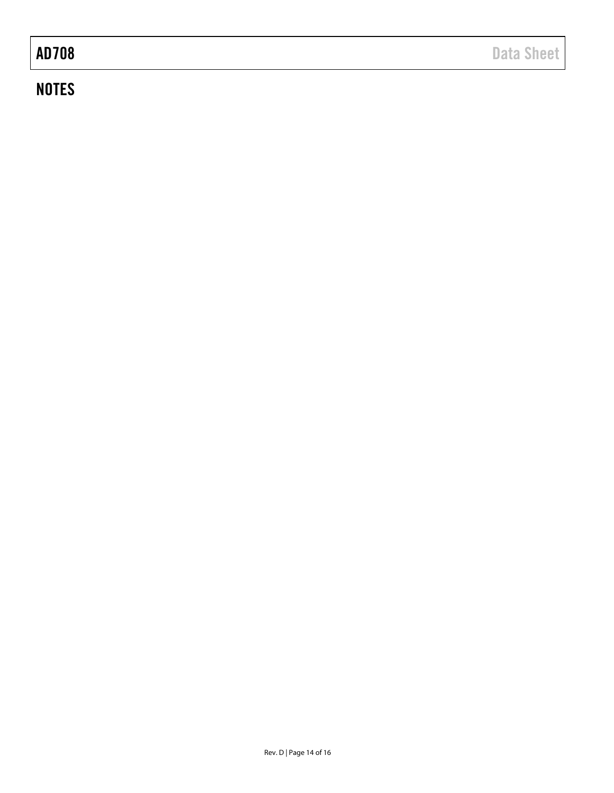## **NOTES**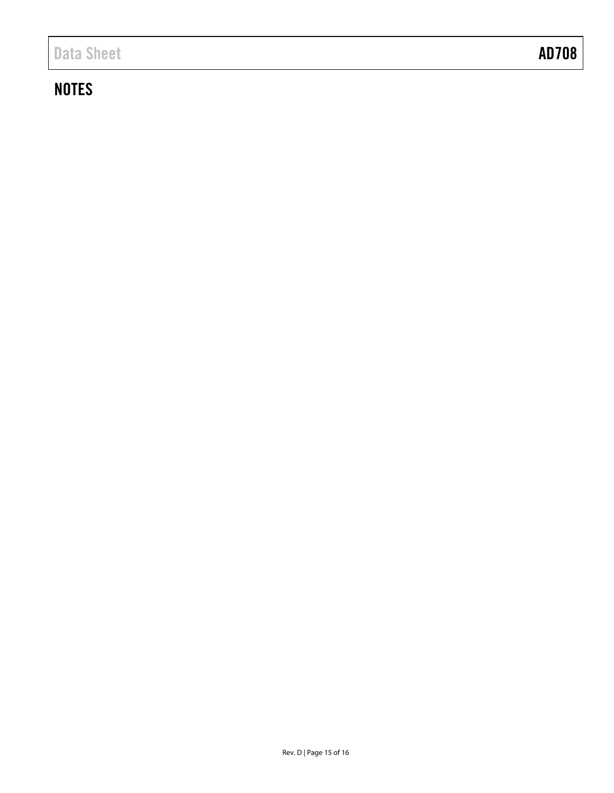## **NOTES**